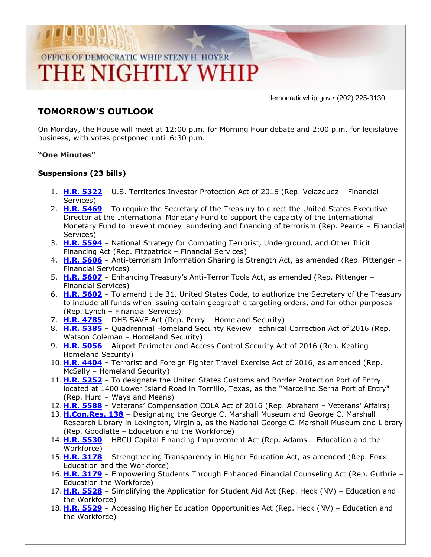# OFFICE OF DEMOCRATIC WHIP STENY H. HOYER THE NIGHTLY WHIP

democraticwhip.gov • (202) 225-3130

### **TOMORROW'S OUTLOOK**

On Monday, the House will meet at 12:00 p.m. for Morning Hour debate and 2:00 p.m. for legislative business, with votes postponed until 6:30 p.m.

#### **"One Minutes"**

#### **Suspensions (23 bills)**

- 1. **[H.R. 5322](http://thomas.loc.gov/cgi-bin/bdquery/z?d114:HR5322:/)** U.S. Territories Investor Protection Act of 2016 (Rep. Velazquez Financial Services)
- 2. **[H.R. 5469](http://thomas.loc.gov/cgi-bin/bdquery/z?d114:HR5469:/)** To require the Secretary of the Treasury to direct the United States Executive Director at the International Monetary Fund to support the capacity of the International Monetary Fund to prevent money laundering and financing of terrorism (Rep. Pearce – Financial Services)
- 3. **[H.R. 5594](http://thomas.loc.gov/cgi-bin/bdquery/z?d114:HR5594:/)** National Strategy for Combating Terrorist, Underground, and Other Illicit Financing Act (Rep. Fitzpatrick – Financial Services)
- 4. **[H.R. 5606](http://thomas.loc.gov/cgi-bin/bdquery/z?d114:HR5606:/)** Anti-terrorism Information Sharing is Strength Act, as amended (Rep. Pittenger Financial Services)
- 5. **[H.R. 5607](http://thomas.loc.gov/cgi-bin/bdquery/z?d114:HR5607:/)** Enhancing Treasury's Anti-Terror Tools Act, as amended (Rep. Pittenger Financial Services)
- 6. **[H.R. 5602](http://thomas.loc.gov/cgi-bin/bdquery/z?d114:HR5602:/)** To amend title 31, United States Code, to authorize the Secretary of the Treasury to include all funds when issuing certain geographic targeting orders, and for other purposes (Rep. Lynch – Financial Services)
- 7. **[H.R. 4785](http://thomas.loc.gov/cgi-bin/bdquery/z?d114:HR4785:/)** DHS SAVE Act (Rep. Perry Homeland Security)
- 8. **[H.R. 5385](http://thomas.loc.gov/cgi-bin/bdquery/z?d114:HR5385:/)** Quadrennial Homeland Security Review Technical Correction Act of 2016 (Rep. Watson Coleman – Homeland Security)
- 9. **[H.R. 5056](http://thomas.loc.gov/cgi-bin/bdquery/z?d114:HR5056:/)** Airport Perimeter and Access Control Security Act of 2016 (Rep. Keating Homeland Security)
- 10. **[H.R. 4404](http://thomas.loc.gov/cgi-bin/bdquery/z?d114:HR4404:/)** Terrorist and Foreign Fighter Travel Exercise Act of 2016, as amended (Rep. McSally – Homeland Security)
- 11. **[H.R. 5252](http://thomas.loc.gov/cgi-bin/bdquery/z?d114:HR5252:/)** To designate the United States Customs and Border Protection Port of Entry located at 1400 Lower Island Road in Tornillo, Texas, as the "Marcelino Serna Port of Entry" (Rep. Hurd – Ways and Means)
- 12. **[H.R. 5588](http://thomas.loc.gov/cgi-bin/bdquery/z?d114:HR5588:/)** Veterans' Compensation COLA Act of 2016 (Rep. Abraham Veterans' Affairs)
- 13. **[H.Con.Res. 138](http://thomas.loc.gov/cgi-bin/bdquery/z?d114:HConRes138:/)** Designating the George C. Marshall Museum and George C. Marshall Research Library in Lexington, Virginia, as the National George C. Marshall Museum and Library (Rep. Goodlatte – Education and the Workforce)
- 14. **[H.R. 5530](http://thomas.loc.gov/cgi-bin/bdquery/z?d114:HR5530:/)** HBCU Capital Financing Improvement Act (Rep. Adams Education and the Workforce)
- 15. **[H.R. 3178](http://thomas.loc.gov/cgi-bin/bdquery/z?d114:HR3178:/)** Strengthening Transparency in Higher Education Act, as amended (Rep. Foxx Education and the Workforce)
- 16. **[H.R. 3179](http://thomas.loc.gov/cgi-bin/bdquery/z?d114:HR3179:/)** Empowering Students Through Enhanced Financial Counseling Act (Rep. Guthrie Education the Workforce)
- 17. **[H.R. 5528](http://thomas.loc.gov/cgi-bin/bdquery/z?d114:HR5528:/)** Simplifying the Application for Student Aid Act (Rep. Heck (NV) Education and the Workforce)
- 18. **[H.R. 5529](http://thomas.loc.gov/cgi-bin/bdquery/z?d114:HR5529:/)** Accessing Higher Education Opportunities Act (Rep. Heck (NV) Education and the Workforce)